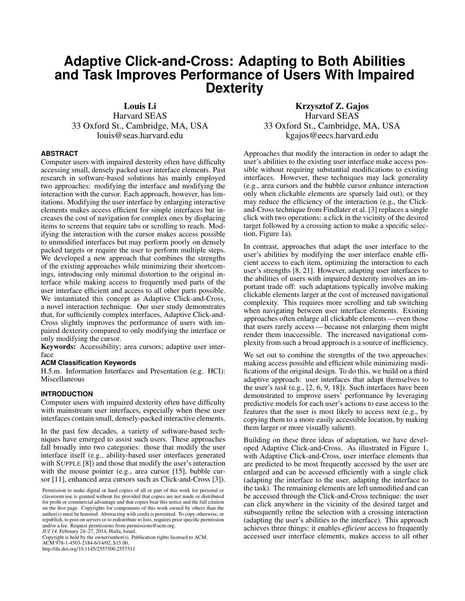# **Adaptive Click-and-Cross: Adapting to Both Abilities and Task Improves Performance of Users With Impaired Dexterity**

Louis Li Harvard SEAS 33 Oxford St., Cambridge, MA, USA louis@seas.harvard.edu

## **ABSTRACT**

Computer users with impaired dexterity often have difficulty accessing small, densely packed user interface elements. Past research in software-based solutions has mainly employed two approaches: modifying the interface and modifying the interaction with the cursor. Each approach, however, has limitations. Modifying the user interface by enlarging interactive elements makes access efficient for simple interfaces but increases the cost of navigation for complex ones by displacing items to screens that require tabs or scrolling to reach. Modifying the interaction with the cursor makes access possible to unmodified interfaces but may perform poorly on densely packed targets or require the user to perform multiple steps. We developed a new approach that combines the strengths of the existing approaches while minimizing their shortcomings, introducing only minimal distortion to the original interface while making access to frequently used parts of the user interface efficient and access to all other parts possible. We instantiated this concept as Adaptive Click-and-Cross, a novel interaction technique. Our user study demonstrates that, for sufficiently complex interfaces, Adaptive Click-and-Cross slightly improves the performance of users with impaired dexterity compared to only modifying the interface or only modifying the cursor.

Keywords: Accessibility; area cursors; adaptive user interface

## **ACM Classification Keywords**

H.5.m. Information Interfaces and Presentation (e.g. HCI): Miscellaneous

## **INTRODUCTION**

Computer users with impaired dexterity often have difficulty with mainstream user interfaces, especially when these user interfaces contain small, densely-packed interactive elements.

In the past few decades, a variety of software-based techniques have emerged to assist such users. These approaches fall broadly into two categories: those that modify the user interface itself (e.g., ability-based user interfaces generated with SUPPLE [\[8\]](#page-5-0)) and those that modify the user's interaction with the mouse pointer (e.g., area cursor [\[15\]](#page-5-1), bubble cursor [\[11\]](#page-5-2), enhanced area cursors such as Click-and-Cross [\[3\]](#page-5-3)).

Copyright is held by the owner/author(s). Publication rights licensed to ACM.

ACM 978-1-4503-2184-6/14/02..\$15.00.

http://dx.doi.org/10.1145/2557500.2557511

Krzysztof Z. Gajos Harvard SEAS 33 Oxford St., Cambridge, MA, USA kgajos@eecs.harvard.edu

Approaches that modify the interaction in order to adapt the user's abilities to the existing user interface make access possible without requiring substantial modifications to existing interfaces. However, these techniques may lack generality (e.g., area cursors and the bubble cursor enhance interaction only when clickable elements are sparsely laid out), or they may reduce the efficiency of the interaction (e.g., the Clickand-Cross technique from Findlater et al. [\[3\]](#page-5-3) replaces a single click with two operations: a click in the vicinity of the desired target followed by a crossing action to make a specific selection, Figure [1a](#page-1-0)).

In contrast, approaches that adapt the user interface to the user's abilities by modifying the user interface enable efficient access to each item, optimizing the interaction to each user's strengths [\[8,](#page-5-0) [21\]](#page-5-4). However, adapting user interfaces to the abilities of users with impaired dexterity involves an important trade off: such adaptations typically involve making clickable elements larger at the cost of increased navigational complexity. This requires more scrolling and tab switching when navigating between user interface elements. Existing approaches often enlarge all clickable elements — even those that users rarely access — because not enlarging them might render them inaccessible. The increased navigational complexity from such a broad approach is a source of inefficiency.

We set out to combine the strengths of the two approaches: making access possible and efficient while minimizing modifications of the original design. To do this, we build on a third adaptive approach: user interfaces that adapt themselves to the user's *task* (e.g., [\[2,](#page-5-5) [6,](#page-5-6) [9,](#page-5-7) [18\]](#page-5-8)). Such interfaces have been demonstrated to improve users' performance by leveraging predictive models for each user's actions to ease access to the features that the user is most likely to access next (e.g., by copying them to a more easily accessible location, by making them larger or more visually salient).

Building on these three ideas of adaptation, we have developed Adaptive Click-and-Cross. As illustrated in Figure [1,](#page-1-0) with Adaptive Click-and-Cross, user interface elements that are predicted to be most frequently accessed by the user are enlarged and can be accessed efficiently with a single click (adapting the interface to the user, adapting the interface to the task). The remaining elements are left unmodified and can be accessed through the Click-and-Cross technique: the user can click anywhere in the vicinity of the desired target and subsequently refine the selection with a crossing interaction (adapting the user's abilities to the interface). This approach achieves three things: it enables *efficient* access to frequently accessed user interface elements, makes access to all other

Permission to make digital or hard copies of all or part of this work for personal or classroom use is granted without fee provided that copies are not made or distributed for profit or commercial advantage and that copies bear this notice and the full citation on the first page. Copyrights for components of this work owned by others than the author(s) must be honored. Abstracting with credit is permitted. To copy otherwise, or republish, to post on servers or to redistribute to lists, requires prior specific permission and/or a fee. Request permissions from permissions@acm.org. *IUI'14*, February 24–27, 2014, Haifa, Israel.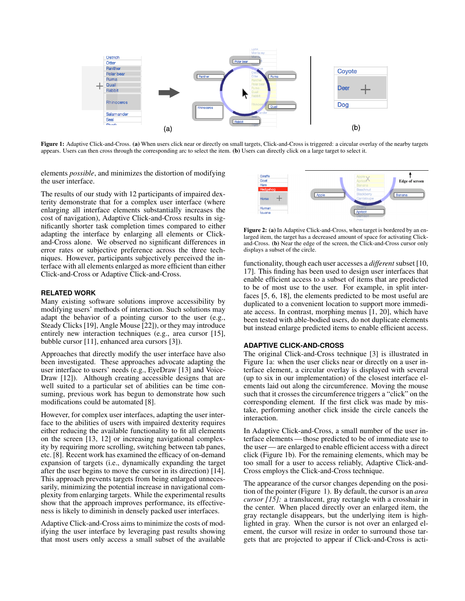<span id="page-1-0"></span>

Figure 1: Adaptive Click-and-Cross. (a) When users click near or directly on small targets, Click-and-Cross is triggered: a circular overlay of the nearby targets appears. Users can then cross through the corresponding arc to select the item. (b) Users can directly click on a large target to select it.

elements *possible*, and minimizes the distortion of modifying the user interface.

The results of our study with 12 participants of impaired dexterity demonstrate that for a complex user interface (where enlarging all interface elements substantially increases the cost of navigation), Adaptive Click-and-Cross results in significantly shorter task completion times compared to either adapting the interface by enlarging all elements or Clickand-Cross alone. We observed no significant differences in error rates or subjective preference across the three techniques. However, participants subjectively perceived the interface with all elements enlarged as more efficient than either Click-and-Cross or Adaptive Click-and-Cross.

## **RELATED WORK**

Many existing software solutions improve accessibility by modifying users' methods of interaction. Such solutions may adapt the behavior of a pointing cursor to the user (e.g., Steady Clicks [\[19\]](#page-5-9), Angle Mouse [\[22\]](#page-5-10)), or they may introduce entirely new interaction techniques (e.g., area cursor [\[15\]](#page-5-1), bubble cursor [\[11\]](#page-5-2), enhanced area cursors [\[3\]](#page-5-3)).

Approaches that directly modify the user interface have also been investigated. These approaches advocate adapting the user interface to users' needs (e.g., EyeDraw [\[13\]](#page-5-11) and Voice-Draw [\[12\]](#page-5-12)). Although creating accessible designs that are well suited to a particular set of abilities can be time consuming, previous work has begun to demonstrate how such modifications could be automated [\[8\]](#page-5-0).

However, for complex user interfaces, adapting the user interface to the abilities of users with impaired dexterity requires either reducing the available functionality to fit all elements on the screen [\[13,](#page-5-11) [12\]](#page-5-12) or increasing navigational complexity by requiring more scrolling, switching between tab panes, etc. [\[8\]](#page-5-0). Recent work has examined the efficacy of on-demand expansion of targets (i.e., dynamically expanding the target after the user begins to move the cursor in its direction) [\[14\]](#page-5-13). This approach prevents targets from being enlarged unnecessarily, minimizing the potential increase in navigational complexity from enlarging targets. While the experimental results show that the approach improves performance, its effectiveness is likely to diminish in densely packed user interfaces.

Adaptive Click-and-Cross aims to minimize the costs of modifying the user interface by leveraging past results showing that most users only access a small subset of the available

<span id="page-1-1"></span>

Figure 2: (a) In Adaptive Click-and-Cross, when target is bordered by an enlarged item, the target has a decreased amount of space for activating Clickand-Cross. (b) Near the edge of the screen, the Click-and-Cross cursor only displays a subset of the circle.

functionality, though each user accesses a *different* subset [\[10,](#page-5-14) [17\]](#page-5-15). This finding has been used to design user interfaces that enable efficient access to a subset of items that are predicted to be of most use to the user. For example, in split interfaces [\[5,](#page-5-16) [6,](#page-5-6) [18\]](#page-5-8), the elements predicted to be most useful are duplicated to a convenient location to support more immediate access. In contrast, morphing menus [\[1,](#page-5-17) [20\]](#page-5-18), which have been tested with able-bodied users, do not duplicate elements but instead enlarge predicted items to enable efficient access.

## **ADAPTIVE CLICK-AND-CROSS**

The original Click-and-Cross technique [\[3\]](#page-5-3) is illustrated in Figure [1a](#page-1-0): when the user clicks near or directly on a user interface element, a circular overlay is displayed with several (up to six in our implementation) of the closest interface elements laid out along the circumference. Moving the mouse such that it crosses the circumference triggers a "click" on the corresponding element. If the first click was made by mistake, performing another click inside the circle cancels the interaction.

In Adaptive Click-and-Cross, a small number of the user interface elements — those predicted to be of immediate use to the user — are enlarged to enable efficient access with a direct click (Figure [1b](#page-1-0)). For the remaining elements, which may be too small for a user to access reliably, Adaptive Click-and-Cross employs the Click-and-Cross technique.

The appearance of the cursor changes depending on the position of the pointer (Figure [1\)](#page-1-0). By default, the cursor is an *area cursor [\[15\]](#page-5-1):* a translucent, gray rectangle with a crosshair in the center. When placed directly over an enlarged item, the gray rectangle disappears, but the underlying item is highlighted in gray. When the cursor is not over an enlarged element, the cursor will resize in order to surround those targets that are projected to appear if Click-and-Cross is acti-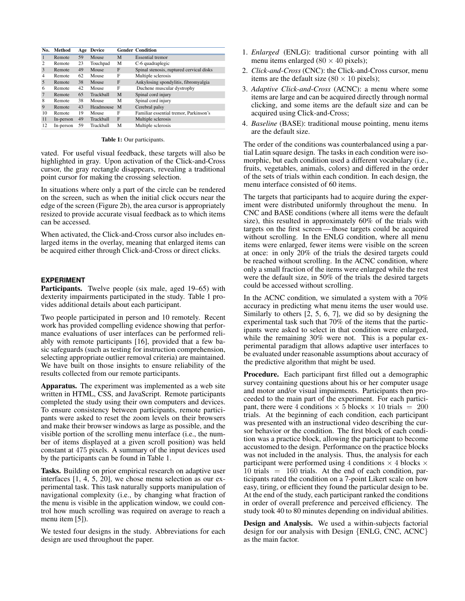<span id="page-2-0"></span>

| No. | <b>Method</b> |    | Age Device |   | <b>Gender Condition</b>                  |
|-----|---------------|----|------------|---|------------------------------------------|
|     | Remote        | 59 | Mouse      | M | Essential tremor                         |
| 2   | Remote        | 23 | Touchpad   | M | C-6 quadraplegic                         |
| 3   | Remote        | 49 | Mouse      | F | Spinal stenosis, ruptured cervical disks |
| 4   | Remote        | 62 | Mouse      | F | Multiple sclerosis                       |
| 5   | Remote        | 38 | Mouse      | F | Ankylosing spondylitis, fibromyalgia     |
| 6   | Remote        | 42 | Mouse      | F | Duchene muscular dystrophy               |
| 7   | Remote        | 65 | Trackball  | M | Spinal cord injury                       |
| 8   | Remote        | 38 | Mouse      | М | Spinal cord injury                       |
| 9   | Remote        | 43 | Headmouse  | M | Cerebral palsy                           |
| 10  | Remote        | 19 | Mouse      | F | Familiar essential tremor, Parkinson's   |
| 11  | In-person     | 49 | Trackball  | F | Multiple sclerosis                       |
| 12  | In-person     | 59 | Trackball  | М | Multiple sclerosis                       |

Table 1: Our participants.

vated. For useful visual feedback, these targets will also be highlighted in gray. Upon activation of the Click-and-Cross cursor, the gray rectangle disappears, revealing a traditional point cursor for making the crossing selection.

In situations where only a part of the circle can be rendered on the screen, such as when the initial click occurs near the edge of the screen (Figure [2b](#page-1-1)), the area cursor is appropriately resized to provide accurate visual feedback as to which items can be accessed.

When activated, the Click-and-Cross cursor also includes enlarged items in the overlay, meaning that enlarged items can be acquired either through Click-and-Cross or direct clicks.

## **EXPERIMENT**

Participants. Twelve people (six male, aged 19–65) with dexterity impairments participated in the study. Table [1](#page-2-0) provides additional details about each participant.

Two people participated in person and 10 remotely. Recent work has provided compelling evidence showing that performance evaluations of user interfaces can be performed reliably with remote participants [\[16\]](#page-5-19), provided that a few basic safeguards (such as testing for instruction comprehension, selecting appropriate outlier removal criteria) are maintained. We have built on those insights to ensure reliability of the results collected from our remote participants.

Apparatus. The experiment was implemented as a web site written in HTML, CSS, and JavaScript. Remote participants completed the study using their own computers and devices. To ensure consistency between participants, remote participants were asked to reset the zoom levels on their browsers and make their browser windows as large as possible, and the visible portion of the scrolling menu interface (i.e., the number of items displayed at a given scroll position) was held constant at 475 pixels. A summary of the input devices used by the participants can be found in Table [1.](#page-2-0)

Tasks. Building on prior empirical research on adaptive user interfaces [\[1,](#page-5-17) [4,](#page-5-20) [5,](#page-5-16) [20\]](#page-5-18), we chose menu selection as our experimental task. This task naturally supports manipulation of navigational complexity (i.e., by changing what fraction of the menu is visible in the application window, we could control how much scrolling was required on average to reach a menu item [\[5\]](#page-5-16)).

We tested four designs in the study. Abbreviations for each design are used throughout the paper.

- 1. *Enlarged* (ENLG): traditional cursor pointing with all menu items enlarged (80  $\times$  40 pixels);
- 2. *Click-and-Cross* (CNC): the Click-and-Cross cursor, menu items are the default size (80  $\times$  10 pixels);
- 3. *Adaptive Click-and-Cross* (ACNC): a menu where some items are large and can be acquired directly through normal clicking, and some items are the default size and can be acquired using Click-and-Cross;
- 4. *Baseline* (BASE): traditional mouse pointing, menu items are the default size.

The order of the conditions was counterbalanced using a partial Latin square design. The tasks in each condition were isomorphic, but each condition used a different vocabulary (i.e., fruits, vegetables, animals, colors) and differed in the order of the sets of trials within each condition. In each design, the menu interface consisted of 60 items.

The targets that participants had to acquire during the experiment were distributed uniformly throughout the menu. In CNC and BASE conditions (where all items were the default size), this resulted in approximately 60% of the trials with targets on the first screen — those targets could be acquired without scrolling. In the ENLG condition, where all menu items were enlarged, fewer items were visible on the screen at once: in only 20% of the trials the desired targets could be reached without scrolling. In the ACNC condition, where only a small fraction of the items were enlarged while the rest were the default size, in 50% of the trials the desired targets could be accessed without scrolling.

In the ACNC condition, we simulated a system with a 70% accuracy in predicting what menu items the user would use. Similarly to others [\[2,](#page-5-5) [5,](#page-5-16) [6,](#page-5-6) [7\]](#page-5-21), we did so by designing the experimental task such that 70% of the items that the participants were asked to select in that condition were enlarged, while the remaining 30% were not. This is a popular experimental paradigm that allows adaptive user interfaces to be evaluated under reasonable assumptions about accuracy of the predictive algorithm that might be used.

Procedure. Each participant first filled out a demographic survey containing questions about his or her computer usage and motor and/or visual impairments. Participants then proceeded to the main part of the experiment. For each participant, there were 4 conditions  $\times$  5 blocks  $\times$  10 trials = 200 trials. At the beginning of each condition, each participant was presented with an instructional video describing the cursor behavior or the condition. The first block of each condition was a practice block, allowing the participant to become accustomed to the design. Performance on the practice blocks was not included in the analysis. Thus, the analysis for each participant were performed using 4 conditions  $\times$  4 blocks  $\times$  $10 \text{ trials} = 160 \text{ trials}$ . At the end of each condition, participants rated the condition on a 7-point Likert scale on how easy, tiring, or efficient they found the particular design to be. At the end of the study, each participant ranked the conditions in order of overall preference and perceived efficiency. The study took 40 to 80 minutes depending on individual abilities.

Design and Analysis. We used a within-subjects factorial design for our analysis with Design *{*ENLG, CNC, ACNC*}* as the main factor.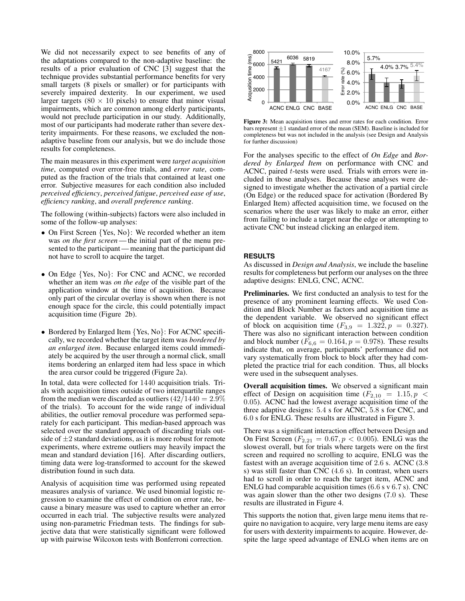We did not necessarily expect to see benefits of any of the adaptations compared to the non-adaptive baseline: the results of a prior evaluation of CNC [\[3\]](#page-5-3) suggest that the technique provides substantial performance benefits for very small targets (8 pixels or smaller) or for participants with severely impaired dexterity. In our experiment, we used larger targets (80  $\times$  10 pixels) to ensure that minor visual impairments, which are common among elderly participants, would not preclude participation in our study. Additionally, most of our participants had moderate rather than severe dexterity impairments. For these reasons, we excluded the nonadaptive baseline from our analysis, but we do include those results for completeness.

The main measures in this experiment were *target acquisition time*, computed over error-free trials, and *error rate*, computed as the fraction of the trials that contained at least one error. Subjective measures for each condition also included *perceived efficiency*, *perceived fatigue*, *perceived ease of use*, *efficiency ranking*, and *overall preference ranking*.

The following (within-subjects) factors were also included in some of the follow-up analyses:

- *•* On First Screen *{*Yes, No*}*: We recorded whether an item was *on the first screen* — the initial part of the menu presented to the participant — meaning that the participant did not have to scroll to acquire the target.
- *•* On Edge *{*Yes, No*}*: For CNC and ACNC, we recorded whether an item was *on the edge* of the visible part of the application window at the time of acquisition. Because only part of the circular overlay is shown when there is not enough space for the circle, this could potentially impact acquisition time (Figure [2b](#page-1-1)).
- *•* Bordered by Enlarged Item *{*Yes, No*}*: For ACNC specifically, we recorded whether the target item was *bordered by an enlarged item*. Because enlarged items could immediately be acquired by the user through a normal click, small items bordering an enlarged item had less space in which the area cursor could be triggered (Figure [2a](#page-1-1)).

In total, data were collected for 1440 acquisition trials. Trials with acquisition times outside of two interquartile ranges from the median were discarded as outliers  $(42/1440 = 2.9\%)$ of the trials). To account for the wide range of individual abilities, the outlier removal procedure was performed separately for each participant. This median-based approach was selected over the standard approach of discarding trials outside of *±*2 standard deviations, as it is more robust for remote experiments, where extreme outliers may heavily impact the mean and standard deviation [\[16\]](#page-5-19). After discarding outliers, timing data were log-transformed to account for the skewed distribution found in such data.

Analysis of acquisition time was performed using repeated measures analysis of variance. We used binomial logistic regression to examine the effect of condition on error rate, because a binary measure was used to capture whether an error occurred in each trial. The subjective results were analyzed using non-parametric Friedman tests. The findings for subjective data that were statistically significant were followed up with pairwise Wilcoxon tests with Bonferroni correction.

<span id="page-3-0"></span>

Figure 3: Mean acquisition times and error rates for each condition. Error bars represent *±*1 standard error of the mean (SEM). Baseline is included for completeness but was not included in the analysis (see Design and Analysis for further discussion)

For the analyses specific to the effect of *On Edge* and *Bordered by Enlarged Item* on performance with CNC and ACNC, paired *t*-tests were used. Trials with errors were included in those analyses. Because these analyses were designed to investigate whether the activation of a partial circle (On Edge) or the reduced space for activation (Bordered By Enlarged Item) affected acquisition time, we focused on the scenarios where the user was likely to make an error, either from failing to include a target near the edge or attempting to activate CNC but instead clicking an enlarged item.

## **RESULTS**

As discussed in *Design and Analysis*, we include the baseline results for completeness but perform our analyses on the three adaptive designs: ENLG, CNC, ACNC.

Preliminaries. We first conducted an analysis to test for the presence of any prominent learning effects. We used Condition and Block Number as factors and acquisition time as the dependent variable. We observed no significant effect of block on acquisition time  $(F_{3,9} = 1.322, p = 0.327)$ . There was also no significant interaction between condition and block number ( $F_{6,6} = 0.164, p = 0.978$ ). These results indicate that, on average, participants' performance did not vary systematically from block to block after they had completed the practice trial for each condition. Thus, all blocks were used in the subsequent analyses.

**Overall acquisition times.** We observed a significant main effect of Design on acquisition time  $(F_{2,10} = 1.15, p \leq$ 0*.*05). ACNC had the lowest average acquisition time of the three adaptive designs: 5*.*4 s for ACNC, 5*.*8 s for CNC, and 6*.*0 s for ENLG. These results are illustrated in Figure [3.](#page-3-0)

There was a significant interaction effect between Design and On First Screen ( $F_{2,21} = 0.67, p < 0.005$ ). ENLG was the slowest overall, but for trials where targets were on the first screen and required no scrolling to acquire, ENLG was the fastest with an average acquisition time of 2*.*6 s. ACNC (3*.*8 s) was still faster than CNC (4*.*6 s). In contrast, when users had to scroll in order to reach the target item, ACNC and ENLG had comparable acquisition times (6*.*6 s v 6*.*7 s). CNC was again slower than the other two designs (7*.*0 s). These results are illustrated in Figure [4.](#page-4-0)

This supports the notion that, given large menu items that require no navigation to acquire, very large menu items are easy for users with dexterity impairments to acquire. However, despite the large speed advantage of ENLG when items are on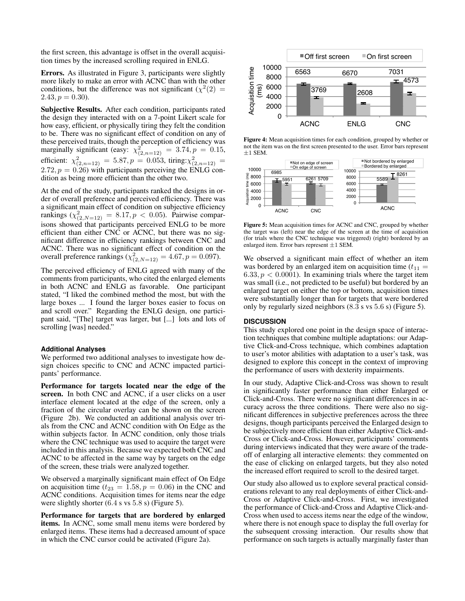the first screen, this advantage is offset in the overall acquisition times by the increased scrolling required in ENLG.

Errors. As illustrated in Figure [3,](#page-3-0) participants were slightly more likely to make an error with ACNC than with the other conditions, but the difference was not significant ( $\chi^2(2)$  =  $2.43, p = 0.30$ .

Subjective Results. After each condition, participants rated the design they interacted with on a 7-point Likert scale for how easy, efficient, or physically tiring they felt the condition to be. There was no significant effect of condition on any of these perceived traits, though the perception of efficiency was marginally significant (easy:  $\chi^{2}_{(2,n=12)} = 3.74, p = 0.15,$ efficient:  $\chi^2_{(2,n=12)} = 5.87, p = 0.053$ , tiring: $\chi^2_{(2,n=12)} =$  $2.72, p = 0.26$ ) with participants perceiving the ENLG condition as being more efficient than the other two.

At the end of the study, participants ranked the designs in order of overall preference and perceived efficiency. There was a significant main effect of condition on subjective efficiency rankings  $(\chi^2_{(2, N=12)} = 8.17, p < 0.05)$ . Pairwise comparisons showed that participants perceived ENLG to be more efficient than either CNC or ACNC, but there was no significant difference in efficiency rankings between CNC and ACNC. There was no significant effect of condition on the overall preference rankings  $(\chi^2_{(2,N=12)} = 4.67, p = 0.097)$ .

The perceived efficiency of ENLG agreed with many of the comments from participants, who cited the enlarged elements in both ACNC and ENLG as favorable. One participant stated, "I liked the combined method the most, but with the large boxes ... I found the larger boxes easier to focus on and scroll over." Regarding the ENLG design, one participant said, "[The] target was larger, but [...] lots and lots of scrolling [was] needed."

## **Additional Analyses**

We performed two additional analyses to investigate how design choices specific to CNC and ACNC impacted participants' performance.

Performance for targets located near the edge of the screen. In both CNC and ACNC, if a user clicks on a user interface element located at the edge of the screen, only a fraction of the circular overlay can be shown on the screen (Figure [2b](#page-1-1)). We conducted an additional analysis over trials from the CNC and ACNC condition with On Edge as the within subjects factor. In ACNC condition, only those trials where the CNC technique was used to acquire the target were included in this analysis. Because we expected both CNC and ACNC to be affected in the same way by targets on the edge of the screen, these trials were analyzed together.

We observed a marginally significant main effect of On Edge on acquisition time ( $t_{23} = 1.58, p = 0.06$ ) in the CNC and ACNC conditions. Acquisition times for items near the edge were slightly shorter (6*.*4 s vs 5*.*8 s) (Figure [5\)](#page-4-1).

Performance for targets that are bordered by enlarged items. In ACNC, some small menu items were bordered by enlarged items. These items had a decreased amount of space in which the CNC cursor could be activated (Figure [2a](#page-1-1)).

<span id="page-4-0"></span>

Figure 4: Mean acquisition times for each condition, grouped by whether or not the item was on the first screen presented to the user. Error bars represent *±*1 SEM.

<span id="page-4-1"></span>

Figure 5: Mean acquisition times for ACNC and CNC, grouped by whether the target was (left) near the edge of the screen at the time of acquisition (for trials where the CNC technique was triggered) (right) bordered by an enlarged item. Error bars represent *±*1 SEM.

We observed a significant main effect of whether an item was bordered by an enlarged item on acquisition time  $(t_{11} =$ 6*.*33*,p <* 0*.*0001). In examining trials where the target item was small (i.e., not predicted to be useful) but bordered by an enlarged target on either the top or bottom, acquisition times were substantially longer than for targets that were bordered only by regularly sized neighbors (8*.*3 s vs 5*.*6 s) (Figure [5\)](#page-4-1).

### **DISCUSSION**

This study explored one point in the design space of interaction techniques that combine multiple adaptations: our Adaptive Click-and-Cross technique, which combines adaptation to user's motor abilities with adaptation to a user's task, was designed to explore this concept in the context of improving the performance of users with dexterity impairments.

In our study, Adaptive Click-and-Cross was shown to result in significantly faster performance than either Enlarged or Click-and-Cross. There were no significant differences in accuracy across the three conditions. There were also no significant differences in subjective preferences across the three designs, though participants perceived the Enlarged design to be subjectively more efficient than either Adaptive Click-and-Cross or Click-and-Cross. However, participants' comments during interviews indicated that they were aware of the tradeoff of enlarging all interactive elements: they commented on the ease of clicking on enlarged targets, but they also noted the increased effort required to scroll to the desired target.

Our study also allowed us to explore several practical considerations relevant to any real deployments of either Click-and-Cross or Adaptive Click-and-Cross. First, we investigated the performance of Click-and-Cross and Adaptive Click-and-Cross when used to access items near the edge of the window, where there is not enough space to display the full overlay for the subsequent crossing interaction. Our results show that performance on such targets is actually marginally faster than